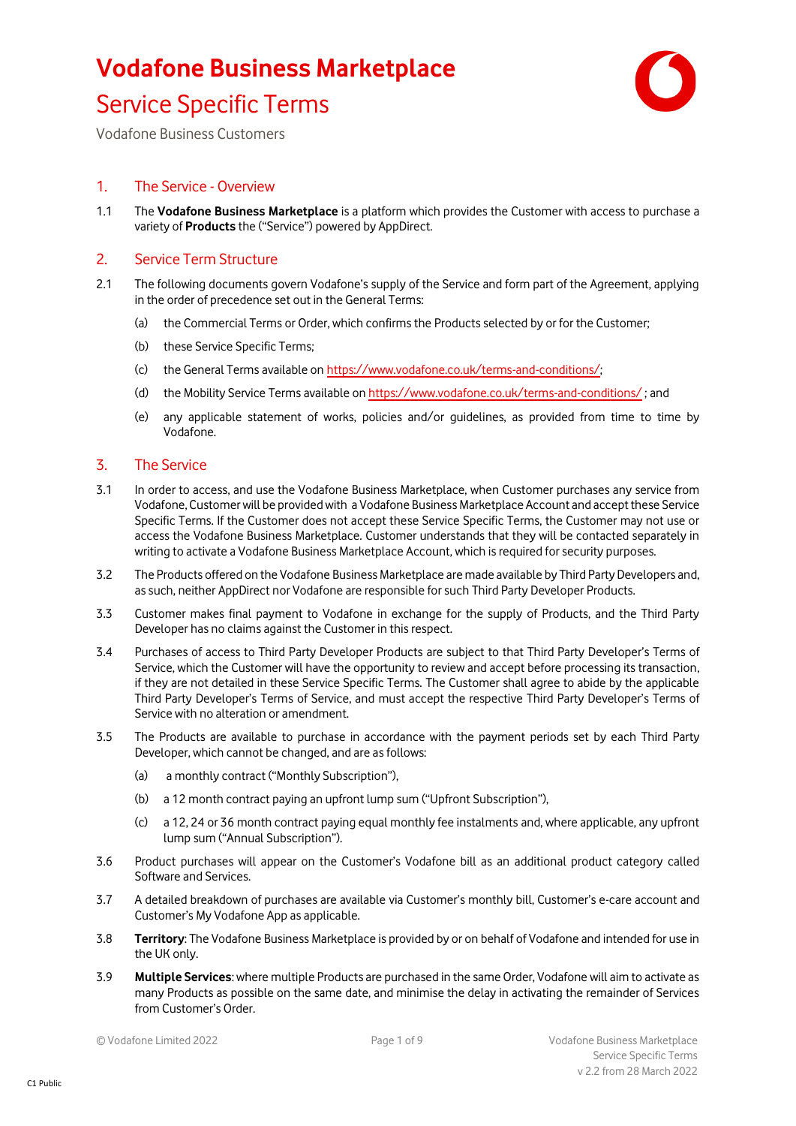# **Vodafone Business Marketplace**



### Service Specific Terms

Vodafone Business Customers

#### 1. The Service - Overview

1.1 The **Vodafone Business Marketplace** is a platform which provides the Customer with access to purchase a variety of **Products** the ("Service") powered by AppDirect.

#### 2. Service Term Structure

- 2.1 The following documents govern Vodafone's supply of the Service and form part of the Agreement, applying in the order of precedence set out in the General Terms:
	- (a) the Commercial Terms or Order, which confirms the Productsselected by or for the Customer;
	- (b) these Service Specific Terms;
	- (c) the General Terms available on https://www.vodafone.co.uk/terms-and-conditions/;
	- (d) the Mobility Service Terms available o[n https://www.vodafone.co.uk/terms-and-conditions/](https://www.vodafone.co.uk/terms-and-conditions/) ; and
	- (e) any applicable statement of works, policies and/or guidelines, as provided from time to time by Vodafone.

#### 3. The Service

- 3.1 In order to access, and use the Vodafone Business Marketplace, when Customer purchases any service from Vodafone, Customer will be provided with a Vodafone Business Marketplace Account and accept these Service Specific Terms. If the Customer does not accept these Service Specific Terms, the Customer may not use or access the Vodafone Business Marketplace. Customer understands that they will be contacted separately in writing to activate a Vodafone Business Marketplace Account, which is required for security purposes.
- 3.2 The Products offered on the Vodafone Business Marketplace are made available by Third Party Developers and, as such, neither AppDirect nor Vodafone are responsible for such Third Party Developer Products.
- 3.3 Customer makes final payment to Vodafone in exchange for the supply of Products, and the Third Party Developer has no claims against the Customer in this respect.
- 3.4 Purchases of access to Third Party Developer Products are subject to that Third Party Developer's Terms of Service, which the Customer will have the opportunity to review and accept before processing its transaction, if they are not detailed in these Service Specific Terms. The Customer shall agree to abide by the applicable Third Party Developer's Terms of Service, and must accept the respective Third Party Developer's Terms of Service with no alteration or amendment.
- 3.5 The Products are available to purchase in accordance with the payment periods set by each Third Party Developer, which cannot be changed, and are as follows:
	- (a) a monthly contract ("Monthly Subscription"),
	- (b) a 12 month contract paying an upfront lump sum ("Upfront Subscription"),
	- (c) a 12, 24 or 36 month contract paying equal monthly fee instalments and, where applicable, any upfront lump sum ("Annual Subscription").
- 3.6 Product purchases will appear on the Customer's Vodafone bill as an additional product category called Software and Services.
- 3.7 A detailed breakdown of purchases are available via Customer's monthly bill, Customer's e-care account and Customer's My Vodafone App as applicable.
- 3.8 **Territory**: The Vodafone Business Marketplace is provided by or on behalf of Vodafone and intended for use in the UK only.
- 3.9 **Multiple Services**: where multiple Products are purchased in the same Order, Vodafone will aim to activate as many Products as possible on the same date, and minimise the delay in activating the remainder of Services from Customer's Order.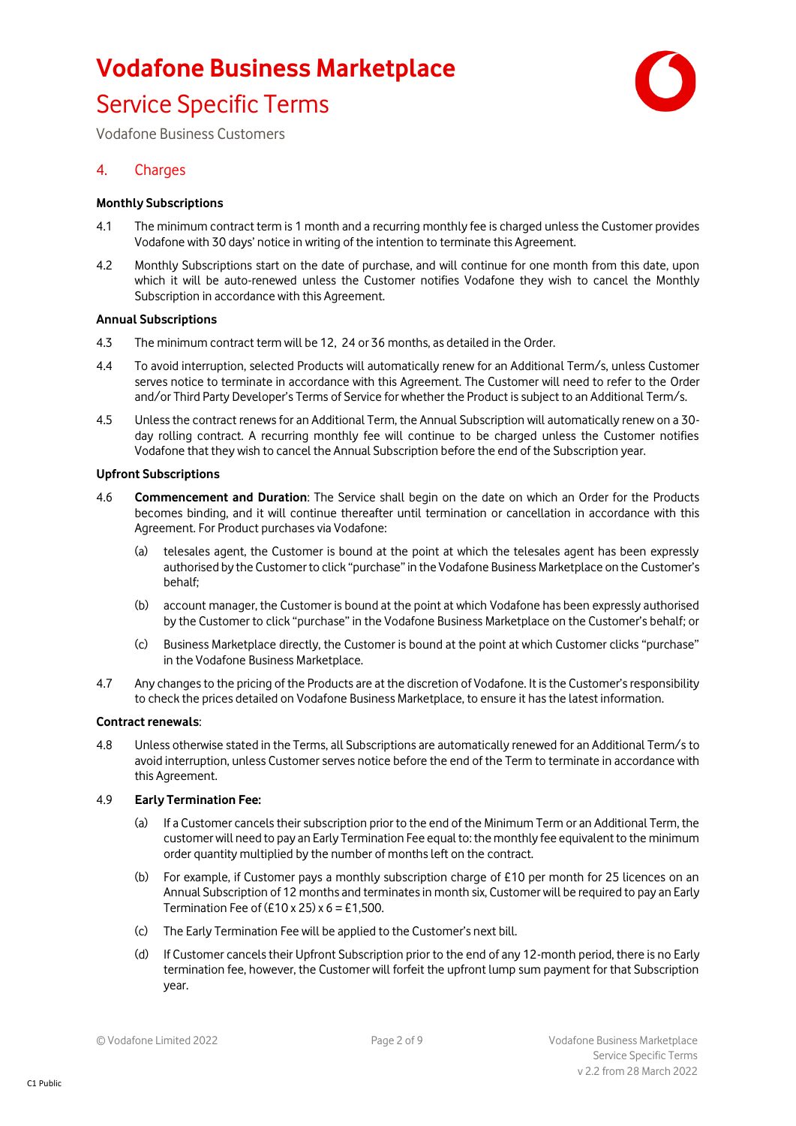

Vodafone Business Customers

#### 4. Charges

#### **Monthly Subscriptions**

- 4.1 The minimum contract term is 1 month and a recurring monthly fee is charged unless the Customer provides Vodafone with 30 days' notice in writing of the intention to terminate this Agreement.
- 4.2 Monthly Subscriptions start on the date of purchase, and will continue for one month from this date, upon which it will be auto-renewed unless the Customer notifies Vodafone they wish to cancel the Monthly Subscription in accordance with this Agreement.

#### **Annual Subscriptions**

- 4.3 The minimum contract term will be 12, 24 or 36 months, as detailed in the Order.
- 4.4 To avoid interruption, selected Products will automatically renew for an Additional Term/s, unless Customer serves notice to terminate in accordance with this Agreement. The Customer will need to refer to the Order and/or Third Party Developer's Terms of Service for whether the Product is subject to an Additional Term/s.
- 4.5 Unless the contract renews for an Additional Term, the Annual Subscription will automatically renew on a 30 day rolling contract. A recurring monthly fee will continue to be charged unless the Customer notifies Vodafone that they wish to cancel the Annual Subscription before the end of the Subscription year.

#### **Upfront Subscriptions**

- 4.6 **Commencement and Duration**: The Service shall begin on the date on which an Order for the Products becomes binding, and it will continue thereafter until termination or cancellation in accordance with this Agreement. For Product purchases via Vodafone:
	- (a) telesales agent, the Customer is bound at the point at which the telesales agent has been expressly authorised by the Customer to click "purchase" in the Vodafone Business Marketplace on the Customer's behalf;
	- (b) account manager, the Customer is bound at the point at which Vodafone has been expressly authorised by the Customer to click "purchase" in the Vodafone Business Marketplace on the Customer's behalf; or
	- (c) Business Marketplace directly, the Customer is bound at the point at which Customer clicks "purchase" in the Vodafone Business Marketplace.
- 4.7 Any changes to the pricing of the Products are at the discretion of Vodafone. It is the Customer's responsibility to check the prices detailed on Vodafone Business Marketplace, to ensure it has the latest information.

#### **Contract renewals**:

4.8 Unless otherwise stated in the Terms, all Subscriptions are automatically renewed for an Additional Term/s to avoid interruption, unless Customer serves notice before the end of the Term to terminate in accordance with this Agreement.

#### 4.9 **Early Termination Fee:**

- (a) If a Customer cancels their subscription prior to the end of the Minimum Term or an Additional Term, the customer will need to pay an Early Termination Fee equal to: the monthly fee equivalent to the minimum order quantity multiplied by the number of months left on the contract.
- (b) For example, if Customer pays a monthly subscription charge of £10 per month for 25 licences on an Annual Subscription of 12 months and terminates in month six, Customer will be required to pay an Early Termination Fee of  $(E10 \times 25) \times 6 = E1,500$ .
- (c) The Early Termination Fee will be applied to the Customer's next bill.
- (d) If Customer cancels their Upfront Subscription prior to the end of any 12-month period, there is no Early termination fee, however, the Customer will forfeit the upfront lump sum payment for that Subscription year.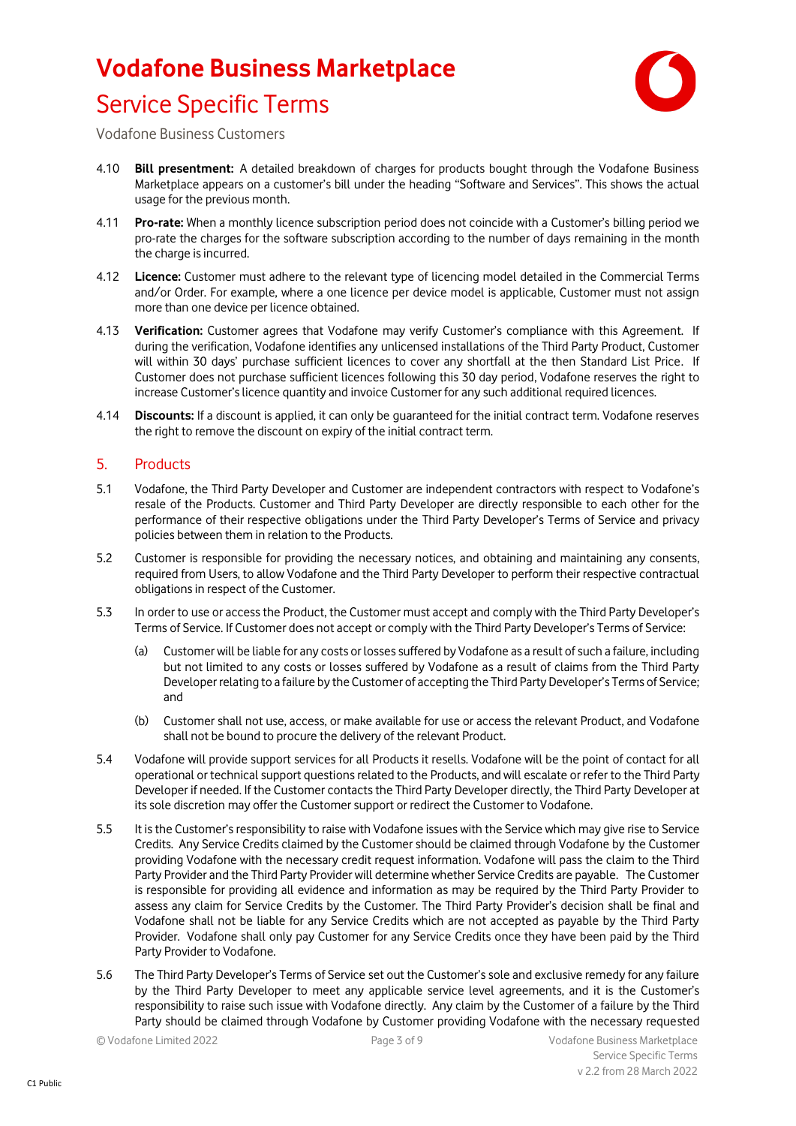

Vodafone Business Customers

- 4.10 **Bill presentment:** A detailed breakdown of charges for products bought through the Vodafone Business Marketplace appears on a customer's bill under the heading "Software and Services". This shows the actual usage for the previous month.
- 4.11 **Pro-rate:** When a monthly licence subscription period does not coincide with a Customer's billing period we pro-rate the charges for the software subscription according to the number of days remaining in the month the charge is incurred.
- 4.12 **Licence:** Customer must adhere to the relevant type of licencing model detailed in the Commercial Terms and/or Order. For example, where a one licence per device model is applicable, Customer must not assign more than one device per licence obtained.
- 4.13 **Verification:** Customer agrees that Vodafone may verify Customer's compliance with this Agreement. If during the verification, Vodafone identifies any unlicensed installations of the Third Party Product, Customer will within 30 days' purchase sufficient licences to cover any shortfall at the then Standard List Price. If Customer does not purchase sufficient licences following this 30 day period, Vodafone reserves the right to increase Customer's licence quantity and invoice Customer for any such additional required licences.
- 4.14 **Discounts:** If a discount is applied, it can only be guaranteed for the initial contract term. Vodafone reserves the right to remove the discount on expiry of the initial contract term.

#### 5. Products

- 5.1 Vodafone, the Third Party Developer and Customer are independent contractors with respect to Vodafone's resale of the Products. Customer and Third Party Developer are directly responsible to each other for the performance of their respective obligations under the Third Party Developer's Terms of Service and privacy policies between them in relation to the Products.
- 5.2 Customer is responsible for providing the necessary notices, and obtaining and maintaining any consents, required from Users, to allow Vodafone and the Third Party Developer to perform their respective contractual obligations in respect of the Customer.
- 5.3 In order to use or access the Product, the Customer must accept and comply with the Third Party Developer's Terms of Service. If Customer does not accept or comply with the Third Party Developer's Terms of Service:
	- (a) Customer will be liable for any costs or losses suffered by Vodafone as a result of such a failure, including but not limited to any costs or losses suffered by Vodafone as a result of claims from the Third Party Developer relating to a failure by the Customer of accepting the Third Party Developer's Terms of Service; and
	- (b) Customer shall not use, access, or make available for use or access the relevant Product, and Vodafone shall not be bound to procure the delivery of the relevant Product.
- 5.4 Vodafone will provide support services for all Products it resells. Vodafone will be the point of contact for all operational or technical support questions related to the Products, and will escalate or refer to the Third Party Developer if needed. If the Customer contacts the Third Party Developer directly, the Third Party Developer at its sole discretion may offer the Customer support or redirect the Customer to Vodafone.
- 5.5 It is the Customer's responsibility to raise with Vodafone issues with the Service which may give rise to Service Credits. Any Service Credits claimed by the Customer should be claimed through Vodafone by the Customer providing Vodafone with the necessary credit request information. Vodafone will pass the claim to the Third Party Provider and the Third Party Provider will determine whether Service Credits are payable. The Customer is responsible for providing all evidence and information as may be required by the Third Party Provider to assess any claim for Service Credits by the Customer. The Third Party Provider's decision shall be final and Vodafone shall not be liable for any Service Credits which are not accepted as payable by the Third Party Provider. Vodafone shall only pay Customer for any Service Credits once they have been paid by the Third Party Provider to Vodafone.
- 5.6 The Third Party Developer's Terms of Service set out the Customer's sole and exclusive remedy for any failure by the Third Party Developer to meet any applicable service level agreements, and it is the Customer's responsibility to raise such issue with Vodafone directly. Any claim by the Customer of a failure by the Third Party should be claimed through Vodafone by Customer providing Vodafone with the necessary requested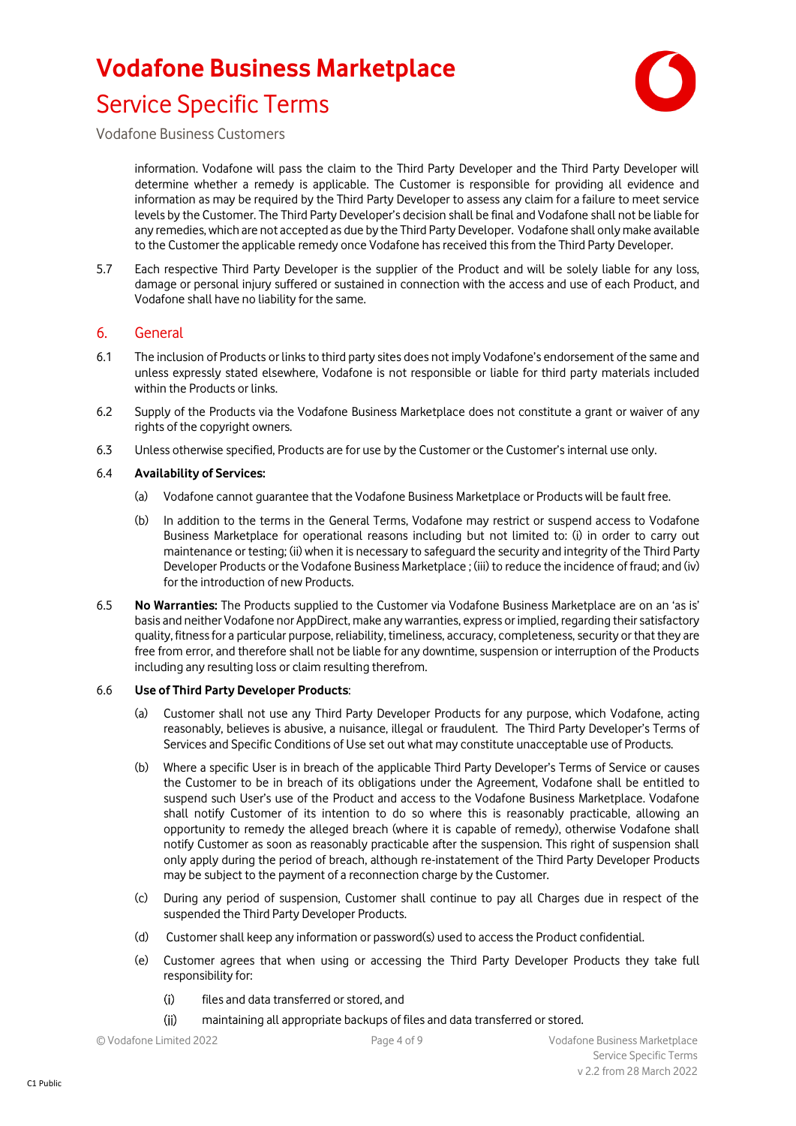

Vodafone Business Customers

information. Vodafone will pass the claim to the Third Party Developer and the Third Party Developer will determine whether a remedy is applicable. The Customer is responsible for providing all evidence and information as may be required by the Third Party Developer to assess any claim for a failure to meet service levels by the Customer. The Third Party Developer's decision shall be final and Vodafone shall not be liable for any remedies, which are not accepted as due by the Third Party Developer. Vodafone shall only make available to the Customer the applicable remedy once Vodafone has received this from the Third Party Developer.

5.7 Each respective Third Party Developer is the supplier of the Product and will be solely liable for any loss, damage or personal injury suffered or sustained in connection with the access and use of each Product, and Vodafone shall have no liability for the same.

#### 6. General

- 6.1 The inclusion of Products or links to third party sites does not imply Vodafone's endorsement of the same and unless expressly stated elsewhere, Vodafone is not responsible or liable for third party materials included within the Products or links.
- 6.2 Supply of the Products via the Vodafone Business Marketplace does not constitute a grant or waiver of any rights of the copyright owners.
- 6.3 Unless otherwise specified, Products are for use by the Customer or the Customer's internal use only.

#### 6.4 **Availability of Services:**

- (a) Vodafone cannot guarantee that the Vodafone Business Marketplace or Products will be fault free.
- (b) In addition to the terms in the General Terms, Vodafone may restrict or suspend access to Vodafone Business Marketplace for operational reasons including but not limited to: (i) in order to carry out maintenance or testing; (ii) when it is necessary to safeguard the security and integrity of the Third Party Developer Products or the Vodafone Business Marketplace ; (iii) to reduce the incidence of fraud; and (iv) for the introduction of new Products.
- 6.5 **No Warranties:** The Products supplied to the Customer via Vodafone Business Marketplace are on an 'as is' basis and neither Vodafone nor AppDirect, make any warranties, express or implied, regarding their satisfactory quality, fitness for a particular purpose, reliability, timeliness, accuracy, completeness, security or that they are free from error, and therefore shall not be liable for any downtime, suspension or interruption of the Products including any resulting loss or claim resulting therefrom.

#### 6.6 **Use of Third Party Developer Products**:

- (a) Customer shall not use any Third Party Developer Products for any purpose, which Vodafone, acting reasonably, believes is abusive, a nuisance, illegal or fraudulent. The Third Party Developer's Terms of Services and Specific Conditions of Use set out what may constitute unacceptable use of Products.
- (b) Where a specific User is in breach of the applicable Third Party Developer's Terms of Service or causes the Customer to be in breach of its obligations under the Agreement, Vodafone shall be entitled to suspend such User's use of the Product and access to the Vodafone Business Marketplace. Vodafone shall notify Customer of its intention to do so where this is reasonably practicable, allowing an opportunity to remedy the alleged breach (where it is capable of remedy), otherwise Vodafone shall notify Customer as soon as reasonably practicable after the suspension. This right of suspension shall only apply during the period of breach, although re-instatement of the Third Party Developer Products may be subject to the payment of a reconnection charge by the Customer.
- (c) During any period of suspension, Customer shall continue to pay all Charges due in respect of the suspended the Third Party Developer Products.
- (d) Customer shall keep any information or password(s) used to access the Product confidential.
- (e) Customer agrees that when using or accessing the Third Party Developer Products they take full responsibility for:
	- files and data transferred or stored, and  $(i)$
	- $(ii)$ maintaining all appropriate backups of files and data transferred or stored.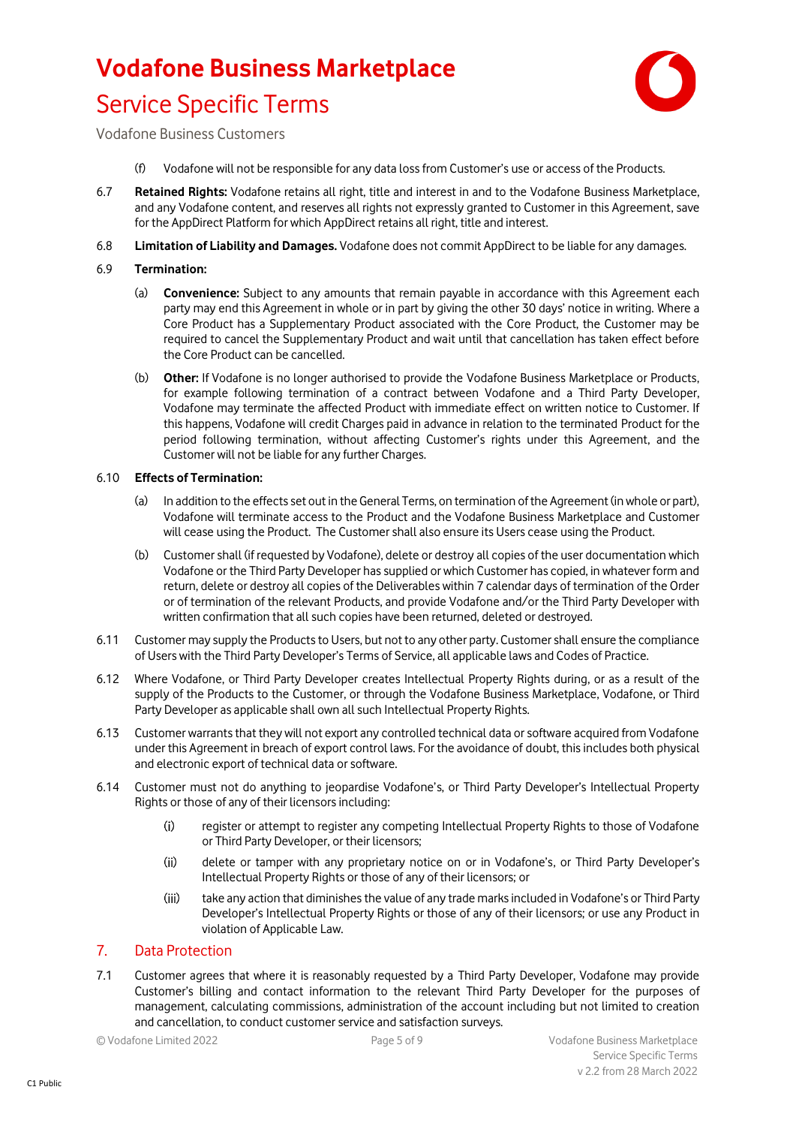

Vodafone Business Customers

- (f) Vodafone will not be responsible for any data loss from Customer's use or access of the Products.
- 6.7 **Retained Rights:** Vodafone retains all right, title and interest in and to the Vodafone Business Marketplace, and any Vodafone content, and reserves all rights not expressly granted to Customer in this Agreement, save for the AppDirect Platform for which AppDirect retains all right, title and interest.
- 6.8 **Limitation of Liability and Damages.** Vodafone does not commit AppDirect to be liable for any damages.

#### 6.9 **Termination:**

- (a) **Convenience:** Subject to any amounts that remain payable in accordance with this Agreement each party may end this Agreement in whole or in part by giving the other 30 days' notice in writing. Where a Core Product has a Supplementary Product associated with the Core Product, the Customer may be required to cancel the Supplementary Product and wait until that cancellation has taken effect before the Core Product can be cancelled.
- (b) **Other:** If Vodafone is no longer authorised to provide the Vodafone Business Marketplace or Products, for example following termination of a contract between Vodafone and a Third Party Developer, Vodafone may terminate the affected Product with immediate effect on written notice to Customer. If this happens, Vodafone will credit Charges paid in advance in relation to the terminated Product for the period following termination, without affecting Customer's rights under this Agreement, and the Customer will not be liable for any further Charges.

#### 6.10 **Effects of Termination:**

- (a) In addition to the effects set out in the General Terms, on termination of the Agreement (in whole or part), Vodafone will terminate access to the Product and the Vodafone Business Marketplace and Customer will cease using the Product. The Customer shall also ensure its Users cease using the Product.
- (b) Customer shall (if requested by Vodafone), delete or destroy all copies of the user documentation which Vodafone or the Third Party Developer has supplied or which Customer has copied, in whatever form and return, delete or destroy all copies of the Deliverables within 7 calendar days of termination of the Order or of termination of the relevant Products, and provide Vodafone and/or the Third Party Developer with written confirmation that all such copies have been returned, deleted or destroyed.
- 6.11 Customer may supply the Productsto Users, but not to any other party. Customer shall ensure the compliance of Users with the Third Party Developer's Terms of Service, all applicable laws and Codes of Practice.
- 6.12 Where Vodafone, or Third Party Developer creates Intellectual Property Rights during, or as a result of the supply of the Products to the Customer, or through the Vodafone Business Marketplace, Vodafone, or Third Party Developer as applicable shall own all such Intellectual Property Rights.
- 6.13 Customer warrants that they will not export any controlled technical data or software acquired from Vodafone under this Agreement in breach of export control laws. For the avoidance of doubt, this includes both physical and electronic export of technical data or software.
- 6.14 Customer must not do anything to jeopardise Vodafone's, or Third Party Developer's Intellectual Property Rights or those of any of their licensors including:
	- register or attempt to register any competing Intellectual Property Rights to those of Vodafone  $(i)$ or Third Party Developer, or their licensors;
	- $(ii)$ delete or tamper with any proprietary notice on or in Vodafone's, or Third Party Developer's Intellectual Property Rights or those of any of their licensors; or
	- $(iii)$ take any action that diminishes the value of any trade marks included in Vodafone's or Third Party Developer's Intellectual Property Rights or those of any of their licensors; or use any Product in violation of Applicable Law.

#### 7. Data Protection

7.1 Customer agrees that where it is reasonably requested by a Third Party Developer, Vodafone may provide Customer's billing and contact information to the relevant Third Party Developer for the purposes of management, calculating commissions, administration of the account including but not limited to creation and cancellation, to conduct customer service and satisfaction surveys.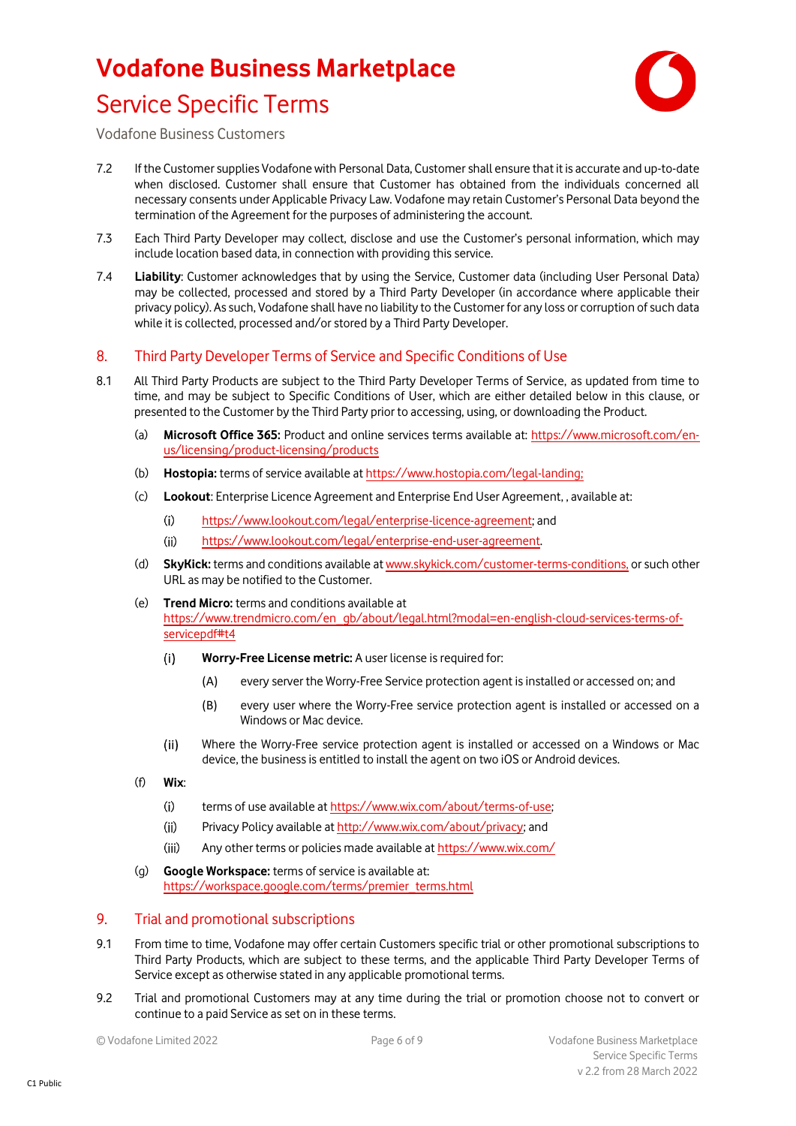

Vodafone Business Customers

- 7.2 If the Customer supplies Vodafone with Personal Data, Customer shall ensure that it is accurate and up-to-date when disclosed. Customer shall ensure that Customer has obtained from the individuals concerned all necessary consents under Applicable Privacy Law. Vodafone may retain Customer's Personal Data beyond the termination of the Agreement for the purposes of administering the account.
- 7.3 Each Third Party Developer may collect, disclose and use the Customer's personal information, which may include location based data, in connection with providing this service.
- 7.4 **Liability**: Customer acknowledges that by using the Service, Customer data (including User Personal Data) may be collected, processed and stored by a Third Party Developer (in accordance where applicable their privacy policy). As such, Vodafone shall have no liability to the Customer for any loss or corruption of such data while it is collected, processed and/or stored by a Third Party Developer.

#### 8. Third Party Developer Terms of Service and Specific Conditions of Use

- 8.1 All Third Party Products are subject to the Third Party Developer Terms of Service, as updated from time to time, and may be subject to Specific Conditions of User, which are either detailed below in this clause, or presented to the Customer by the Third Party prior to accessing, using, or downloading the Product.
	- (a) **Microsoft Office 365:** Product and online services terms available at: [https://www.microsoft.com/en](https://www.microsoft.com/en-us/licensing/product-licensing/products)[us/licensing/product-licensing/products](https://www.microsoft.com/en-us/licensing/product-licensing/products)
	- (b) **Hostopia:** terms of service available a[t https://www.hostopia.com/legal-landing;](https://www.hostopia.com/legal-landing)
	- (c) **Lookout**: Enterprise Licence Agreement and Enterprise End User Agreement, , available at:
		- $(i)$ [https://www.lookout.com/legal/enterprise-licence-agreement;](https://www.lookout.com/legal/enterprise-licence-agreement) and
		- [https://www.lookout.com/legal/enterprise-end-user-agreement.](https://www.lookout.com/legal/enterprise-end-user-agreement)  $(ii)$
	- (d) **SkyKick:** terms and conditions available a[t www.skykick.com/customer-terms-conditions,](http://www.skykick.com/customer-terms-conditions) or such other URL as may be notified to the Customer.
	- (e) **Trend Micro:** terms and conditions available at [https://www.trendmicro.com/en\\_gb/about/legal.html?modal=en-english-cloud-services-terms-of](https://www.trendmicro.com/en_gb/about/legal.html?modal=en-english-cloud-services-terms-of-servicepdf#t4)[servicepdf#t4](https://www.trendmicro.com/en_gb/about/legal.html?modal=en-english-cloud-services-terms-of-servicepdf#t4)
		- $(i)$ **Worry-Free License metric:** A user license is required for:
			- (A) every server the Worry-Free Service protection agent is installed or accessed on; and
			- (B) every user where the Worry-Free service protection agent is installed or accessed on a Windows or Mac device.
		- $(ii)$ Where the Worry-Free service protection agent is installed or accessed on a Windows or Mac device, the business is entitled to install the agent on two iOS or Android devices.
	- (f) **Wix**:
		- $(i)$ terms of use available a[t https://www.wix.com/about/terms-of-use;](https://www.wix.com/about/terms-of-use)
		- Privacy Policy available a[t http://www.wix.com/about/privacy;](http://www.wix.com/about/privacy) and  $(ii)$
		- $(iii)$ Any other terms or policies made available a[t https://www.wix.com/](https://www.wix.com/)
	- (g) **Google Workspace:** terms of service is available at: [https://workspace.google.com/terms/premier\\_terms.html](https://workspace.google.com/terms/premier_terms.html)

#### 9. Trial and promotional subscriptions

- 9.1 From time to time, Vodafone may offer certain Customers specific trial or other promotional subscriptions to Third Party Products, which are subject to these terms, and the applicable Third Party Developer Terms of Service except as otherwise stated in any applicable promotional terms.
- 9.2 Trial and promotional Customers may at any time during the trial or promotion choose not to convert or continue to a paid Service as set on in these terms.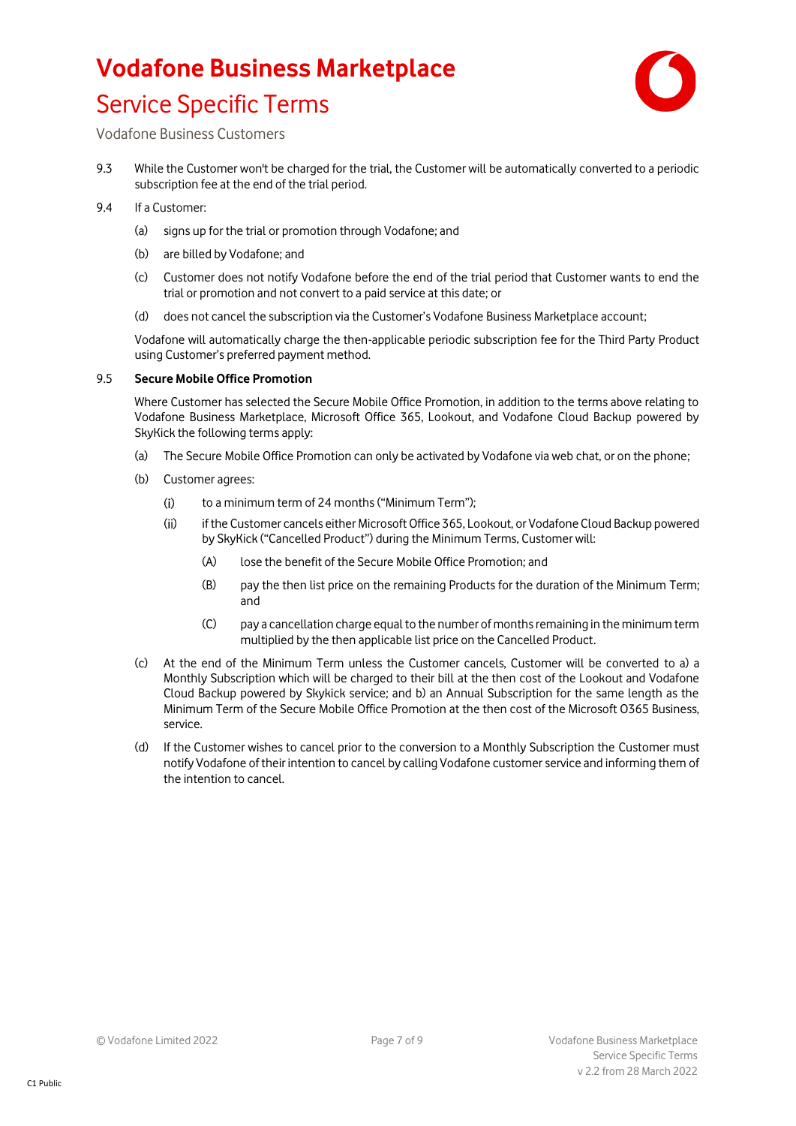

Vodafone Business Customers

- 9.3 While the Customer won't be charged for the trial, the Customer will be automatically converted to a periodic subscription fee at the end of the trial period.
- 9.4 If a Customer:
	- (a) signs up for the trial or promotion through Vodafone; and
	- (b) are billed by Vodafone; and
	- (c) Customer does not notify Vodafone before the end of the trial period that Customer wants to end the trial or promotion and not convert to a paid service at this date; or
	- (d) does not cancel the subscription via the Customer's Vodafone Business Marketplace account;

Vodafone will automatically charge the then-applicable periodic subscription fee for the Third Party Product using Customer's preferred payment method.

#### 9.5 **Secure Mobile Office Promotion**

Where Customer has selected the Secure Mobile Office Promotion, in addition to the terms above relating to Vodafone Business Marketplace, Microsoft Office 365, Lookout, and Vodafone Cloud Backup powered by SkyKick the following terms apply:

- (a) The Secure Mobile Office Promotion can only be activated by Vodafone via web chat, or on the phone;
- (b) Customer agrees:
	- $(i)$ to a minimum term of 24 months ("Minimum Term");
	- $(ii)$ if the Customer cancels either Microsoft Office 365, Lookout, or Vodafone Cloud Backup powered by SkyKick ("Cancelled Product") during the Minimum Terms, Customer will:
		- (A) lose the benefit of the Secure Mobile Office Promotion; and
		- (B) pay the then list price on the remaining Products for the duration of the Minimum Term; and
		- (C) pay a cancellation charge equal to the number of months remaining in the minimum term multiplied by the then applicable list price on the Cancelled Product.
- (c) At the end of the Minimum Term unless the Customer cancels, Customer will be converted to a) a Monthly Subscription which will be charged to their bill at the then cost of the Lookout and Vodafone Cloud Backup powered by Skykick service; and b) an Annual Subscription for the same length as the Minimum Term of the Secure Mobile Office Promotion at the then cost of the Microsoft O365 Business, service.
- (d) If the Customer wishes to cancel prior to the conversion to a Monthly Subscription the Customer must notify Vodafone of their intention to cancel by calling Vodafone customer service and informing them of the intention to cancel.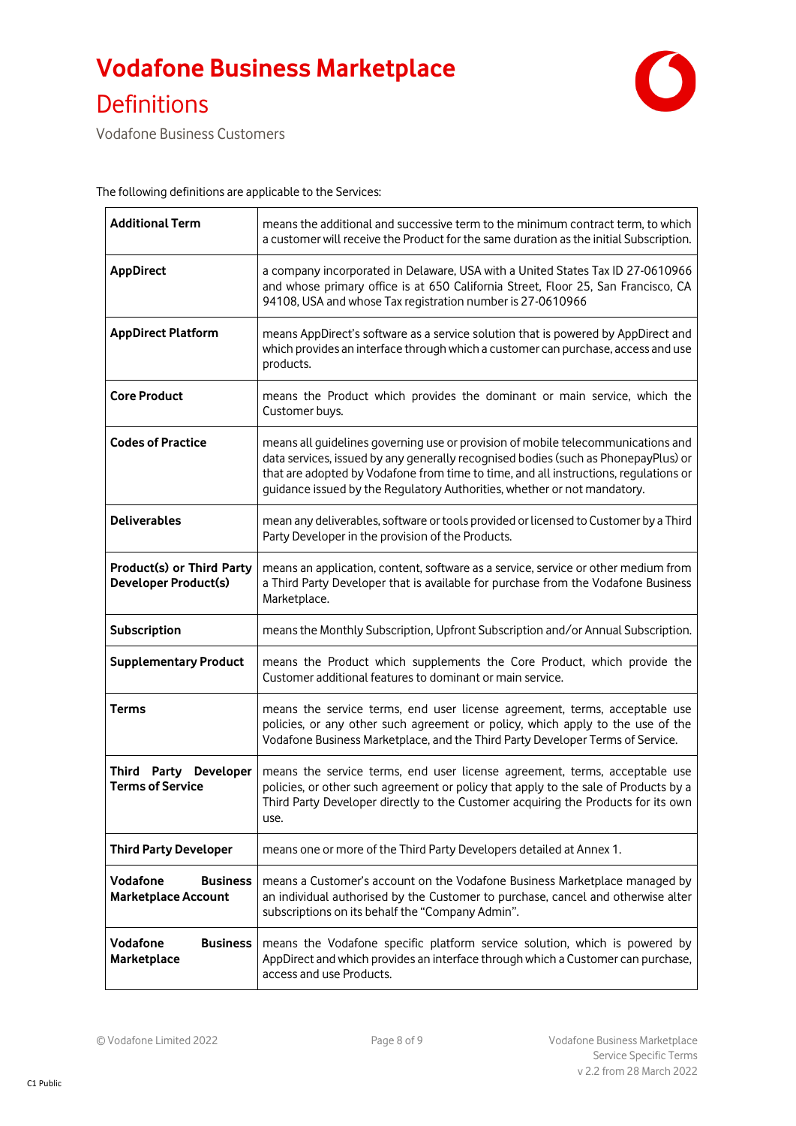

Vodafone Business Customers

The following definitions are applicable to the Services:

| <b>Additional Term</b>                                          | means the additional and successive term to the minimum contract term, to which<br>a customer will receive the Product for the same duration as the initial Subscription.                                                                                                                                                                  |
|-----------------------------------------------------------------|--------------------------------------------------------------------------------------------------------------------------------------------------------------------------------------------------------------------------------------------------------------------------------------------------------------------------------------------|
| <b>AppDirect</b>                                                | a company incorporated in Delaware, USA with a United States Tax ID 27-0610966<br>and whose primary office is at 650 California Street, Floor 25, San Francisco, CA<br>94108, USA and whose Tax registration number is 27-0610966                                                                                                          |
| <b>AppDirect Platform</b>                                       | means AppDirect's software as a service solution that is powered by AppDirect and<br>which provides an interface through which a customer can purchase, access and use<br>products.                                                                                                                                                        |
| <b>Core Product</b>                                             | means the Product which provides the dominant or main service, which the<br>Customer buys.                                                                                                                                                                                                                                                 |
| <b>Codes of Practice</b>                                        | means all guidelines governing use or provision of mobile telecommunications and<br>data services, issued by any generally recognised bodies (such as PhonepayPlus) or<br>that are adopted by Vodafone from time to time, and all instructions, regulations or<br>guidance issued by the Regulatory Authorities, whether or not mandatory. |
| <b>Deliverables</b>                                             | mean any deliverables, software or tools provided or licensed to Customer by a Third<br>Party Developer in the provision of the Products.                                                                                                                                                                                                  |
| <b>Product(s) or Third Party</b><br><b>Developer Product(s)</b> | means an application, content, software as a service, service or other medium from<br>a Third Party Developer that is available for purchase from the Vodafone Business<br>Marketplace.                                                                                                                                                    |
| Subscription                                                    | means the Monthly Subscription, Upfront Subscription and/or Annual Subscription.                                                                                                                                                                                                                                                           |
| <b>Supplementary Product</b>                                    | means the Product which supplements the Core Product, which provide the<br>Customer additional features to dominant or main service.                                                                                                                                                                                                       |
| <b>Terms</b>                                                    | means the service terms, end user license agreement, terms, acceptable use<br>policies, or any other such agreement or policy, which apply to the use of the<br>Vodafone Business Marketplace, and the Third Party Developer Terms of Service.                                                                                             |
| Third Party Developer<br><b>Terms of Service</b>                | means the service terms, end user license agreement, terms, acceptable use<br>policies, or other such agreement or policy that apply to the sale of Products by a<br>Third Party Developer directly to the Customer acquiring the Products for its own<br>use.                                                                             |
| <b>Third Party Developer</b>                                    | means one or more of the Third Party Developers detailed at Annex 1.                                                                                                                                                                                                                                                                       |
| Vodafone<br><b>Business</b><br><b>Marketplace Account</b>       | means a Customer's account on the Vodafone Business Marketplace managed by<br>an individual authorised by the Customer to purchase, cancel and otherwise alter<br>subscriptions on its behalf the "Company Admin".                                                                                                                         |
| Vodafone<br><b>Business</b><br>Marketplace                      | means the Vodafone specific platform service solution, which is powered by<br>AppDirect and which provides an interface through which a Customer can purchase,<br>access and use Products.                                                                                                                                                 |